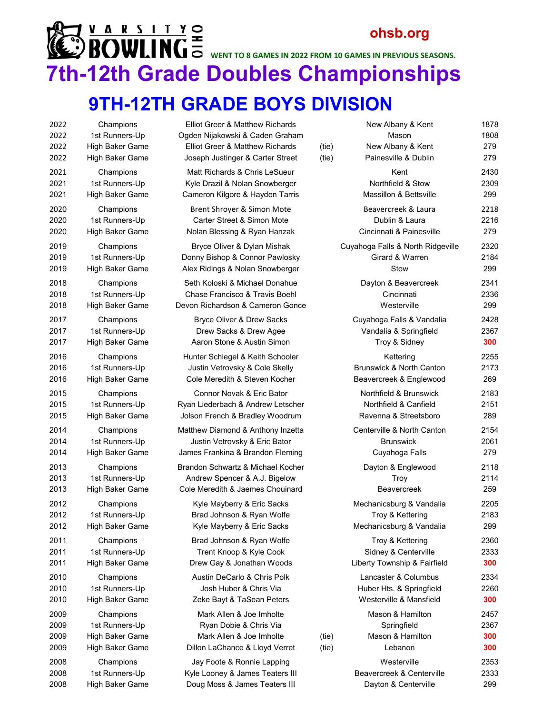### **ohsb.org**  $\mathbb{R} \rightarrow \mathbb{R}$  **Model of Section 1 MPC**  $\Xi$  and the segmes in 2022 from 10 games in previous seasons. **7th-12th Grade Doubles Championships**

#### **9TH-12TH GRADE BOYS DIVISION**

| 2022 | Champions              |
|------|------------------------|
| 2022 | 1st Runners-Up         |
| 2022 | <b>High Baker Game</b> |
| 2022 | <b>High Baker Game</b> |
| 2021 | Champions              |
| 2021 | 1st Runners-Up         |
| 2021 | <b>High Baker Game</b> |
| 2020 | Champions              |
| 2020 | 1st Runners-Up         |
| 2020 | <b>High Baker Game</b> |
| 2019 | Champions              |
| 2019 | 1st Runners-Up         |
| 2019 | <b>High Baker Game</b> |
| 2018 | Champions              |
| 2018 | 1st Runners-Up         |
| 2018 | <b>High Baker Game</b> |
| 2017 | Champions              |
| 2017 | 1st Runners-Up         |
| 2017 | <b>High Baker Game</b> |
| 2016 | Champions              |
| 2016 | 1st Runners-Up         |
| 2016 | <b>High Baker Game</b> |
| 2015 | Champions              |
| 2015 | 1st Runners-Up         |
| 2015 | <b>High Baker Game</b> |
| 2014 | Champions              |
| 2014 | 1st Runners-Up         |
| 2014 | <b>High Baker Game</b> |
| 2013 | Champions              |
| 2013 | 1st Runners-Up         |
| 2013 | <b>High Baker Game</b> |
| 2012 | Champions              |
| 2012 | 1st Runners-Up         |
| 2012 | High Baker Game        |
| 2011 | Champions              |
| 2011 | 1st Runners-Up         |
| 2011 | <b>High Baker Game</b> |
| 2010 | Champions              |
| 2010 | 1st Runners-Up         |
| 2010 | <b>High Baker Game</b> |
| 2009 | Champions              |
| 2009 | 1st Runners-Up         |
| 2009 | <b>High Baker Game</b> |
| 2009 | <b>High Baker Game</b> |
| 2008 | Champions              |
| 2008 | 1st Runners-Up         |
| 2008 | <b>High Baker Game</b> |

| <b>Elliot Greer &amp; Matthew Richards</b><br>Ogden Nijakowski & Caden Graham<br>Elliot Greer & Matthew Richards                       | (tie)          | New Albany & Kent<br>Mason<br>New Albany & Kent<br>Painesville & Dublin | 1878<br>1808<br>279<br>279 |
|----------------------------------------------------------------------------------------------------------------------------------------|----------------|-------------------------------------------------------------------------|----------------------------|
| Joseph Justinger & Carter Street<br>Matt Richards & Chris LeSueur<br>Kyle Drazil & Nolan Snowberger<br>Cameron Kilgore & Hayden Tarris | (tie)          | Kent<br>Northfield & Stow<br><b>Massillon &amp; Bettsville</b>          | 2430<br>2309<br>299        |
| Brent Shroyer & Simon Mote                                                                                                             |                | Beavercreek & Laura                                                     | 2218                       |
| Carter Street & Simon Mote                                                                                                             |                | Dublin & Laura                                                          | 2216                       |
| Nolan Blessing & Ryan Hanzak                                                                                                           |                | Cincinnati & Painesville                                                | 279                        |
| Bryce Oliver & Dylan Mishak                                                                                                            |                | Cuyahoga Falls & North Ridgeville                                       | 2320                       |
| Donny Bishop & Connor Pawlosky                                                                                                         |                | Girard & Warren                                                         | 2184                       |
| Alex Ridings & Nolan Snowberger                                                                                                        |                | Stow                                                                    | 299                        |
| Seth Koloski & Michael Donahue                                                                                                         |                | Dayton & Beavercreek                                                    | 2341                       |
| Chase Francisco & Travis Boehl                                                                                                         |                | Cincinnati                                                              | 2336                       |
| Devon Richardson & Cameron Gonce                                                                                                       |                | Westerville                                                             | 299                        |
| Bryce Oliver & Drew Sacks                                                                                                              |                | Cuyahoga Falls & Vandalia                                               | 2428                       |
| Drew Sacks & Drew Agee                                                                                                                 |                | Vandalia & Springfield                                                  | 2367                       |
| Aaron Stone & Austin Simon                                                                                                             |                | Troy & Sidney                                                           | 300                        |
| Hunter Schlegel & Keith Schooler                                                                                                       |                | Kettering                                                               | 2255                       |
| Justin Vetrovsky & Cole Skelly                                                                                                         |                | <b>Brunswick &amp; North Canton</b>                                     | 2173                       |
| Cole Meredith & Steven Kocher                                                                                                          |                | Beavercreek & Englewood                                                 | 269                        |
| Connor Novak & Eric Bator                                                                                                              |                | Northfield & Brunswick                                                  | 2183                       |
| Ryan Liederbach & Andrew Letscher                                                                                                      |                | Northfield & Canfield                                                   | 2151                       |
| Jolson French & Bradley Woodrum                                                                                                        |                | Ravenna & Streetsboro                                                   | 289                        |
| Matthew Diamond & Anthony Inzetta                                                                                                      |                | Centerville & North Canton                                              | 2154                       |
| Justin Vetrovsky & Eric Bator                                                                                                          |                | <b>Brunswick</b>                                                        | 2061                       |
| James Frankina & Brandon Fleming                                                                                                       |                | Cuyahoga Falls                                                          | 279                        |
| Brandon Schwartz & Michael Kocher                                                                                                      |                | Dayton & Englewood                                                      | 2118                       |
| Andrew Spencer & A.J. Bigelow                                                                                                          |                | Troy                                                                    | 2114                       |
| Cole Meredith & Jaemes Chouinard                                                                                                       |                | <b>Beavercreek</b>                                                      | 259                        |
| Kyle Mayberry & Eric Sacks                                                                                                             |                | Mechanicsburg & Vandalia                                                | 2205                       |
| Brad Johnson & Ryan Wolfe                                                                                                              |                | Troy & Kettering                                                        | 2183                       |
| Kyle Mayberry & Eric Sacks                                                                                                             |                | Mechanicsburg & Vandalia                                                | 299                        |
| Brad Johnson & Ryan Wolfe                                                                                                              |                | Troy & Kettering                                                        | 2360                       |
| Trent Knoop & Kyle Cook                                                                                                                |                | Sidney & Centerville                                                    | 2333                       |
| Drew Gay & Jonathan Woods                                                                                                              |                | Liberty Township & Fairfield                                            | 300                        |
| Austin DeCarlo & Chris Polk                                                                                                            |                | Lancaster & Columbus                                                    | 2334                       |
| Josh Huber & Chris Via                                                                                                                 |                | Huber Hts. & Springfield                                                | 2260                       |
| Zeke Bayt & TaSean Peters                                                                                                              |                | Westerville & Mansfield                                                 | 300                        |
| Mark Allen & Joe Imholte<br>Ryan Dobie & Chris Via<br>Mark Allen & Joe Imholte<br>Dillon LaChance & Lloyd Verret                       | (tie)<br>(tie) | Mason & Hamilton<br>Springfield<br>Mason & Hamilton<br>Lebanon          | 2457<br>2367<br>300<br>300 |
| Jay Foote & Ronnie Lapping                                                                                                             |                | Westerville                                                             | 2353                       |
| Kyle Looney & James Teaters III                                                                                                        |                | Beavercreek & Centerville                                               | 2333                       |
| Doug Moss & James Teaters III                                                                                                          |                | Dayton & Centerville                                                    | 299                        |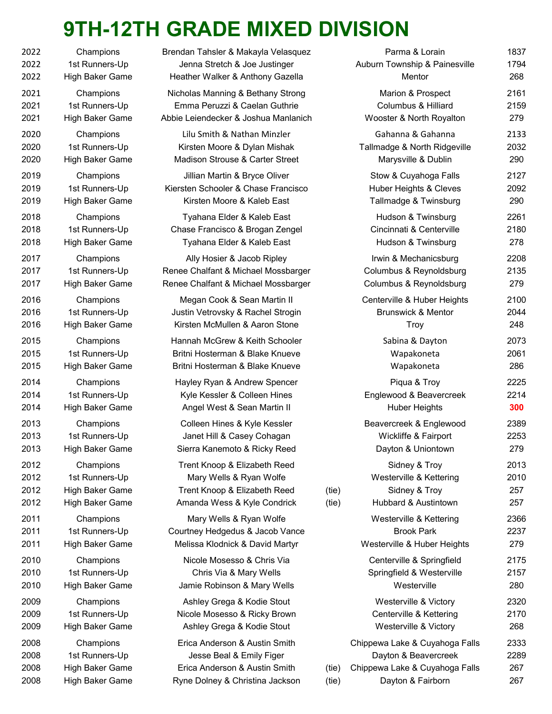## **9TH-12TH GRADE MIXED DIVISION**

| 2022 | Champions              | <b>Brenda</b>  |
|------|------------------------|----------------|
| 2022 | 1st Runners-Up         | Je             |
| 2022 | <b>High Baker Game</b> | Heatl          |
| 2021 | Champions              | Nicho          |
| 2021 | 1st Runners-Up         | Emr            |
| 2021 | High Baker Game        | Abbie L        |
| 2020 | Champions              | Li             |
| 2020 | 1st Runners-Up         | Kir            |
| 2020 | High Baker Game        | Mac            |
| 2019 | Champions              | ال             |
| 2019 | 1st Runners-Up         | Kierste        |
| 2019 | <b>High Baker Game</b> | Κ              |
| 2018 | Champions              | Т١             |
| 2018 | 1st Runners-Up         | Chas           |
| 2018 | High Baker Game        | Т١             |
| 2017 | Champions              | ŀ              |
| 2017 | 1st Runners-Up         | Renee          |
| 2017 | High Baker Game        | Renee          |
| 2016 | Champions              | M              |
| 2016 | 1st Runners-Up         | Justi          |
| 2016 | High Baker Game        | Kirs           |
| 2015 | Champions              | Hanr           |
| 2015 | 1st Runners-Up         | <b>Britr</b>   |
| 2015 | High Baker Game        | <b>Britr</b>   |
| 2014 | Champions              | Hay            |
| 2014 | 1st Runners-Up         | Ky             |
| 2014 | <b>High Baker Game</b> | A <sub>l</sub> |
| 2013 | Champions              | С              |
| 2013 | 1st Runners-Up         | <sub>ئ</sub> ل |
| 2013 | <b>High Baker Game</b> | Sie            |
| 2012 | Champions              | Tre            |
| 2012 | 1st Runners-Up         | I              |
| 2012 | <b>High Baker Game</b> | Tre            |
| 2012 | High Baker Game        | Am             |
| 2011 | Champions              | I              |
| 2011 | 1st Runners-Up         | Court          |
| 2011 | <b>High Baker Game</b> | Mel            |
| 2010 | Champions              | Ν              |
| 2010 | 1st Runners-Up         |                |
| 2010 | <b>High Baker Game</b> | Jaı            |
| 2009 | Champions              | A              |
| 2009 | 1st Runners-Up         | Nic            |
| 2009 | <b>High Baker Game</b> | A.             |
| 2008 | Champions              | Eri            |
| 2008 | 1st Runners-Up         |                |
| 2008 | High Baker Game        | Eri            |
| 2008 | High Baker Game        | <b>Ryn</b>     |

| 2022                         | Champions                                                         | Brendan Tahsler & Makayla Velasquez                                                                                           |                | Parma & Lorain                                                                                                | 1837                       |
|------------------------------|-------------------------------------------------------------------|-------------------------------------------------------------------------------------------------------------------------------|----------------|---------------------------------------------------------------------------------------------------------------|----------------------------|
| 2022                         | 1st Runners-Up                                                    | Jenna Stretch & Joe Justinger                                                                                                 |                | Auburn Township & Painesville                                                                                 | 1794                       |
| 2022                         | High Baker Game                                                   | Heather Walker & Anthony Gazella                                                                                              |                | Mentor                                                                                                        | 268                        |
| 2021                         | Champions                                                         | Nicholas Manning & Bethany Strong                                                                                             |                | Marion & Prospect                                                                                             | 2161                       |
| 2021                         | 1st Runners-Up                                                    | Emma Peruzzi & Caelan Guthrie                                                                                                 |                | <b>Columbus &amp; Hilliard</b>                                                                                | 2159                       |
| 2021                         | High Baker Game                                                   | Abbie Leiendecker & Joshua Manlanich                                                                                          |                | Wooster & North Royalton                                                                                      | 279                        |
| 2020                         | Champions                                                         | Lilu Smith & Nathan Minzler                                                                                                   |                | Gahanna & Gahanna                                                                                             | 2133                       |
| 2020                         | 1st Runners-Up                                                    | Kirsten Moore & Dylan Mishak                                                                                                  |                | Tallmadge & North Ridgeville                                                                                  | 2032                       |
| 2020                         | High Baker Game                                                   | Madison Strouse & Carter Street                                                                                               |                | Marysville & Dublin                                                                                           | 290                        |
| 2019                         | Champions                                                         | Jillian Martin & Bryce Oliver                                                                                                 |                | Stow & Cuyahoga Falls                                                                                         | 2127                       |
| 2019                         | 1st Runners-Up                                                    | Kiersten Schooler & Chase Francisco                                                                                           |                | Huber Heights & Cleves                                                                                        | 2092                       |
| 2019                         | High Baker Game                                                   | Kirsten Moore & Kaleb East                                                                                                    |                | Tallmadge & Twinsburg                                                                                         | 290                        |
| 2018                         | Champions                                                         | Tyahana Elder & Kaleb East                                                                                                    |                | Hudson & Twinsburg                                                                                            | 2261                       |
| 2018                         | 1st Runners-Up                                                    | Chase Francisco & Brogan Zengel                                                                                               |                | Cincinnati & Centerville                                                                                      | 2180                       |
| 2018                         | High Baker Game                                                   | Tyahana Elder & Kaleb East                                                                                                    |                | Hudson & Twinsburg                                                                                            | 278                        |
| 2017                         | Champions                                                         | Ally Hosier & Jacob Ripley                                                                                                    |                | Irwin & Mechanicsburg                                                                                         | 2208                       |
| 2017                         | 1st Runners-Up                                                    | Renee Chalfant & Michael Mossbarger                                                                                           |                | Columbus & Reynoldsburg                                                                                       | 2135                       |
| 2017                         | High Baker Game                                                   | Renee Chalfant & Michael Mossbarger                                                                                           |                | Columbus & Reynoldsburg                                                                                       | 279                        |
| 2016                         | Champions                                                         | Megan Cook & Sean Martin II                                                                                                   |                | Centerville & Huber Heights                                                                                   | 2100                       |
| 2016                         | 1st Runners-Up                                                    | Justin Vetrovsky & Rachel Strogin                                                                                             |                | <b>Brunswick &amp; Mentor</b>                                                                                 | 2044                       |
| 2016                         | High Baker Game                                                   | Kirsten McMullen & Aaron Stone                                                                                                |                | Troy                                                                                                          | 248                        |
| 2015                         | Champions                                                         | Hannah McGrew & Keith Schooler                                                                                                |                | Sabina & Dayton                                                                                               | 2073                       |
| 2015                         | 1st Runners-Up                                                    | Britni Hosterman & Blake Knueve                                                                                               |                | Wapakoneta                                                                                                    | 2061                       |
| 2015                         | High Baker Game                                                   | Britni Hosterman & Blake Knueve                                                                                               |                | Wapakoneta                                                                                                    | 286                        |
| 2014                         | Champions                                                         | Hayley Ryan & Andrew Spencer                                                                                                  |                | Piqua & Troy                                                                                                  | 2225                       |
| 2014                         | 1st Runners-Up                                                    | Kyle Kessler & Colleen Hines                                                                                                  |                | Englewood & Beavercreek                                                                                       | 2214                       |
| 2014                         | High Baker Game                                                   | Angel West & Sean Martin II                                                                                                   |                | <b>Huber Heights</b>                                                                                          | 300                        |
| 2013                         | Champions                                                         | Colleen Hines & Kyle Kessler                                                                                                  |                | Beavercreek & Englewood                                                                                       | 2389                       |
| 2013                         | 1st Runners-Up                                                    | Janet Hill & Casey Cohagan                                                                                                    |                | Wickliffe & Fairport                                                                                          | 2253                       |
| 2013                         | High Baker Game                                                   | Sierra Kanemoto & Ricky Reed                                                                                                  |                | Dayton & Uniontown                                                                                            | 279                        |
| 2012<br>2012<br>2012<br>2012 | Champions<br>1st Runners-Up<br>High Baker Game<br>High Baker Game | Trent Knoop & Elizabeth Reed<br>Mary Wells & Ryan Wolfe<br>Trent Knoop & Elizabeth Reed<br>Amanda Wess & Kyle Condrick        | (tie)<br>(tie) | Sidney & Troy<br>Westerville & Kettering<br>Sidney & Troy<br>Hubbard & Austintown                             | 2013<br>2010<br>257<br>257 |
| 2011                         | Champions                                                         | Mary Wells & Ryan Wolfe                                                                                                       |                | Westerville & Kettering                                                                                       | 2366                       |
| 2011                         | 1st Runners-Up                                                    | Courtney Hedgedus & Jacob Vance                                                                                               |                | <b>Brook Park</b>                                                                                             | 2237                       |
| 2011                         | High Baker Game                                                   | Melissa Klodnick & David Martyr                                                                                               |                | Westerville & Huber Heights                                                                                   | 279                        |
| 2010                         | Champions                                                         | Nicole Mosesso & Chris Via                                                                                                    |                | Centerville & Springfield                                                                                     | 2175                       |
| 2010                         | 1st Runners-Up                                                    | Chris Via & Mary Wells                                                                                                        |                | Springfield & Westerville                                                                                     | 2157                       |
| 2010                         | High Baker Game                                                   | Jamie Robinson & Mary Wells                                                                                                   |                | Westerville                                                                                                   | 280                        |
| 2009                         | Champions                                                         | Ashley Grega & Kodie Stout                                                                                                    |                | Westerville & Victory                                                                                         | 2320                       |
| 2009                         | 1st Runners-Up                                                    | Nicole Mosesso & Ricky Brown                                                                                                  |                | Centerville & Kettering                                                                                       | 2170                       |
| 2009                         | High Baker Game                                                   | Ashley Grega & Kodie Stout                                                                                                    |                | Westerville & Victory                                                                                         | 268                        |
| 2008<br>2008<br>2008<br>2008 | Champions<br>1st Runners-Up<br>High Baker Game<br>High Baker Game | Erica Anderson & Austin Smith<br>Jesse Beal & Emily Figer<br>Erica Anderson & Austin Smith<br>Ryne Dolney & Christina Jackson | (tie)<br>(tie) | Chippewa Lake & Cuyahoga Falls<br>Dayton & Beavercreek<br>Chippewa Lake & Cuyahoga Falls<br>Dayton & Fairborn | 2333<br>2289<br>267<br>267 |
|                              |                                                                   |                                                                                                                               |                |                                                                                                               |                            |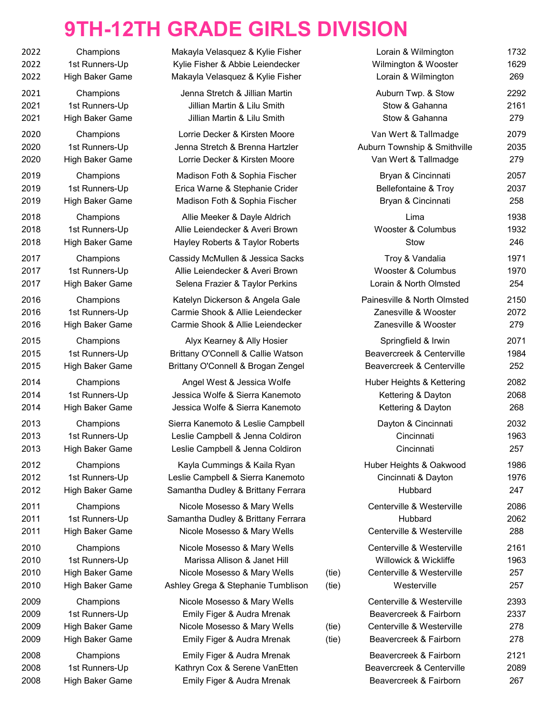### **9TH-12TH GRADE GIRLS DIVISION**

| 2022         | Champions                                |
|--------------|------------------------------------------|
| 2022         | 1st Runners-Up                           |
| 2022         | <b>High Baker Game</b>                   |
| 2021         | Champions                                |
| 2021         | 1st Runners-Up                           |
| 2021         | <b>High Baker Game</b>                   |
| 2020         | Champions                                |
| 2020         | 1st Runners-Up                           |
| 2020         | <b>High Baker Game</b>                   |
| 2019         | Champions                                |
| 2019         | 1st Runners-Up                           |
| 2019         | <b>High Baker Game</b>                   |
| 2018         | Champions                                |
| 2018         | 1st Runners-Up                           |
| 2018         | <b>High Baker Game</b>                   |
| 2017         | Champions                                |
| 2017         | 1st Runners-Up                           |
| 2017         | <b>High Baker Game</b>                   |
| 2016         | Champions                                |
| 2016         | 1st Runners-Up                           |
| 2016         | <b>High Baker Game</b>                   |
| 2015         | Champions                                |
| 2015         | 1st Runners-Up                           |
| 2015         | <b>High Baker Game</b>                   |
| 2014         | Champions                                |
| 2014         | 1st Runners-Up                           |
| 2014         | <b>High Baker Game</b>                   |
| 2013         | Champions                                |
| 2013         | 1st Runners-Up                           |
| 2013         | High Baker Game                          |
| 2012         | Champions                                |
| 2012         | 1st Runners-Up                           |
| 2012         | <b>High Baker Game</b>                   |
| 2011         | Champions                                |
| 2011         | 1st Runners-Up                           |
| 2011         | <b>High Baker Game</b>                   |
| 2010         | Champions                                |
| 2010         | 1st Runners-Up                           |
| 2010         | <b>High Baker Game</b>                   |
| 2010         | <b>High Baker Game</b>                   |
| 2009         | Champions                                |
| 2009         | 1st Runners-Up                           |
| 2009         | <b>High Baker Game</b>                   |
| 2009         | <b>High Baker Game</b>                   |
| 2008         | Champions                                |
| 2008<br>2000 | 1st Runners-Up<br><b>High Police Com</b> |
|              |                                          |

| 2022                         | Champions                                                         | Makayla Velasquez & Kylie Fisher                                                                                                 |                | Lorain & Wilmington                                                                                        | 1732                       |
|------------------------------|-------------------------------------------------------------------|----------------------------------------------------------------------------------------------------------------------------------|----------------|------------------------------------------------------------------------------------------------------------|----------------------------|
| 2022                         | 1st Runners-Up                                                    | Kylie Fisher & Abbie Leiendecker                                                                                                 |                | Wilmington & Wooster                                                                                       | 1629                       |
| 2022                         | High Baker Game                                                   | Makayla Velasquez & Kylie Fisher                                                                                                 |                | Lorain & Wilmington                                                                                        | 269                        |
| 2021                         | Champions                                                         | Jenna Stretch & Jillian Martin                                                                                                   |                | Auburn Twp. & Stow                                                                                         | 2292                       |
| 2021                         | 1st Runners-Up                                                    | Jillian Martin & Lilu Smith                                                                                                      |                | Stow & Gahanna                                                                                             | 2161                       |
| 2021                         | High Baker Game                                                   | Jillian Martin & Lilu Smith                                                                                                      |                | Stow & Gahanna                                                                                             | 279                        |
| 2020                         | Champions                                                         | Lorrie Decker & Kirsten Moore                                                                                                    |                | Van Wert & Tallmadge                                                                                       | 2079                       |
| 2020                         | 1st Runners-Up                                                    | Jenna Stretch & Brenna Hartzler                                                                                                  |                | Auburn Township & Smithville                                                                               | 2035                       |
| 2020                         | High Baker Game                                                   | Lorrie Decker & Kirsten Moore                                                                                                    |                | Van Wert & Tallmadge                                                                                       | 279                        |
| 2019                         | Champions                                                         | Madison Foth & Sophia Fischer                                                                                                    |                | Bryan & Cincinnati                                                                                         | 2057                       |
| 2019                         | 1st Runners-Up                                                    | Erica Warne & Stephanie Crider                                                                                                   |                | <b>Bellefontaine &amp; Troy</b>                                                                            | 2037                       |
| 2019                         | High Baker Game                                                   | Madison Foth & Sophia Fischer                                                                                                    |                | Bryan & Cincinnati                                                                                         | 258                        |
| 2018                         | Champions                                                         | Allie Meeker & Dayle Aldrich                                                                                                     |                | Lima                                                                                                       | 1938                       |
| 2018                         | 1st Runners-Up                                                    | Allie Leiendecker & Averi Brown                                                                                                  |                | Wooster & Columbus                                                                                         | 1932                       |
| 2018                         | High Baker Game                                                   | Hayley Roberts & Taylor Roberts                                                                                                  |                | Stow                                                                                                       | 246                        |
| 2017                         | Champions                                                         | Cassidy McMullen & Jessica Sacks                                                                                                 |                | Troy & Vandalia                                                                                            | 1971                       |
| 2017                         | 1st Runners-Up                                                    | Allie Leiendecker & Averi Brown                                                                                                  |                | Wooster & Columbus                                                                                         | 1970                       |
| 2017                         | High Baker Game                                                   | Selena Frazier & Taylor Perkins                                                                                                  |                | Lorain & North Olmsted                                                                                     | 254                        |
| 2016                         | Champions                                                         | Katelyn Dickerson & Angela Gale                                                                                                  |                | Painesville & North Olmsted                                                                                | 2150                       |
| 2016                         | 1st Runners-Up                                                    | Carmie Shook & Allie Leiendecker                                                                                                 |                | Zanesville & Wooster                                                                                       | 2072                       |
| 2016                         | High Baker Game                                                   | Carmie Shook & Allie Leiendecker                                                                                                 |                | Zanesville & Wooster                                                                                       | 279                        |
| 2015                         | Champions                                                         | Alyx Kearney & Ally Hosier                                                                                                       |                | Springfield & Irwin                                                                                        | 2071                       |
| 2015                         | 1st Runners-Up                                                    | Brittany O'Connell & Callie Watson                                                                                               |                | Beavercreek & Centerville                                                                                  | 1984                       |
| 2015                         | High Baker Game                                                   | Brittany O'Connell & Brogan Zengel                                                                                               |                | Beavercreek & Centerville                                                                                  | 252                        |
| 2014                         | Champions                                                         | Angel West & Jessica Wolfe                                                                                                       |                | Huber Heights & Kettering                                                                                  | 2082                       |
| 2014                         | 1st Runners-Up                                                    | Jessica Wolfe & Sierra Kanemoto                                                                                                  |                | Kettering & Dayton                                                                                         | 2068                       |
| 2014                         | High Baker Game                                                   | Jessica Wolfe & Sierra Kanemoto                                                                                                  |                | Kettering & Dayton                                                                                         | 268                        |
| 2013                         | Champions                                                         | Sierra Kanemoto & Leslie Campbell                                                                                                |                | Dayton & Cincinnati                                                                                        | 2032                       |
| 2013                         | 1st Runners-Up                                                    | Leslie Campbell & Jenna Coldiron                                                                                                 |                | Cincinnati                                                                                                 | 1963                       |
| 2013                         | High Baker Game                                                   | Leslie Campbell & Jenna Coldiron                                                                                                 |                | Cincinnati                                                                                                 | 257                        |
| 2012                         | Champions                                                         | Kayla Cummings & Kaila Ryan                                                                                                      |                | Huber Heights & Oakwood                                                                                    | 1986                       |
| 2012                         | 1st Runners-Up                                                    | Leslie Campbell & Sierra Kanemoto                                                                                                |                | Cincinnati & Dayton                                                                                        | 1976                       |
| 2012                         | High Baker Game                                                   | Samantha Dudley & Brittany Ferrara                                                                                               |                | Hubbard                                                                                                    | 247                        |
| 2011                         | Champions                                                         | Nicole Mosesso & Mary Wells                                                                                                      |                | Centerville & Westerville                                                                                  | 2086                       |
| 2011                         | 1st Runners-Up                                                    | Samantha Dudley & Brittany Ferrara                                                                                               |                | Hubbard                                                                                                    | 2062                       |
| 2011                         | <b>High Baker Game</b>                                            | Nicole Mosesso & Mary Wells                                                                                                      |                | Centerville & Westerville                                                                                  | 288                        |
| 2010<br>2010<br>2010<br>2010 | Champions<br>1st Runners-Up<br>High Baker Game<br>High Baker Game | Nicole Mosesso & Mary Wells<br>Marissa Allison & Janet Hill<br>Nicole Mosesso & Mary Wells<br>Ashley Grega & Stephanie Tumblison | (tie)<br>(tie) | Centerville & Westerville<br>Willowick & Wickliffe<br>Centerville & Westerville<br>Westerville             | 2161<br>1963<br>257<br>257 |
| 2009<br>2009<br>2009<br>2009 | Champions<br>1st Runners-Up<br>High Baker Game<br>High Baker Game | Nicole Mosesso & Mary Wells<br>Emily Figer & Audra Mrenak<br>Nicole Mosesso & Mary Wells<br>Emily Figer & Audra Mrenak           | (tie)<br>(tie) | Centerville & Westerville<br>Beavercreek & Fairborn<br>Centerville & Westerville<br>Beavercreek & Fairborn | 2393<br>2337<br>278<br>278 |
| 2008                         | Champions                                                         | Emily Figer & Audra Mrenak                                                                                                       |                | Beavercreek & Fairborn                                                                                     | 2121                       |
| 2008                         | 1st Runners-Up                                                    | Kathryn Cox & Serene VanEtten                                                                                                    |                | Beavercreek & Centerville                                                                                  | 2089                       |
| 2008                         | High Baker Game                                                   | Emily Figer & Audra Mrenak                                                                                                       |                | Beavercreek & Fairborn                                                                                     | 267                        |

| vviimington & vvooster          | ש∠טו |
|---------------------------------|------|
| Lorain & Wilmington             | 269  |
| Auburn Twp. & Stow              | 2292 |
| Stow & Gahanna                  | 2161 |
| Stow & Gahanna                  | 279  |
| Van Wert & Tallmadge            | 2079 |
| Auburn Township & Smithville    | 2035 |
| Van Wert & Tallmadge            | 279  |
| Bryan & Cincinnati              | 2057 |
| <b>Bellefontaine &amp; Troy</b> | 2037 |
| Bryan & Cincinnati              | 258  |
| Lima                            | 1938 |
| <b>Wooster &amp; Columbus</b>   | 1932 |
| Stow                            | 246  |
| Troy & Vandalia                 | 1971 |
| <b>Wooster &amp; Columbus</b>   | 1970 |
| Lorain & North Olmsted          | 254  |
| Painesville & North Olmsted     | 2150 |
| Zanesville & Wooster            | 2072 |
| Zanesville & Wooster            | 279  |
| Springfield & Irwin             | 2071 |
| Beavercreek & Centerville       | 1984 |
| Beavercreek & Centerville       | 252  |
| Huber Heights & Kettering       | 2082 |
| Kettering & Dayton              | 2068 |
| Kettering & Dayton              | 268  |
| Dayton & Cincinnati             | 2032 |
| Cincinnati                      | 1963 |
| Cincinnati                      | 257  |
| Huber Heights & Oakwood         | 1986 |
| Cincinnati & Dayton             | 1976 |
| Hubbard                         | 247  |
| Centerville & Westerville       | 2086 |
| Hubbard                         | 2062 |
| Centerville & Westerville       | 288  |
| Centerville & Westerville       | 2161 |
| Willowick & Wickliffe           | 1963 |
| Centerville & Westerville       | 257  |
| Westerville                     | 257  |
| Centerville & Westerville       | 2393 |
| Beavercreek & Fairborn          | 2337 |
| Centerville & Westerville       | 278  |
| Beavercreek & Fairborn          | 278  |
| Beavercreek & Fairborn          | 2121 |
| Beavercreek & Centerville       | 2089 |
| Beavercreek & Fairborn          | 267  |